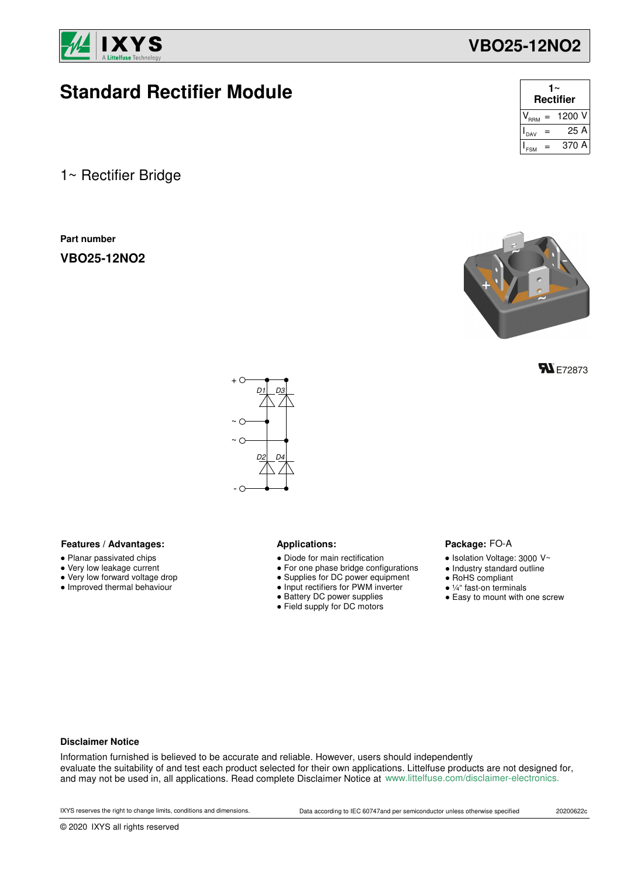

# **Standard Rectifier Module**

1~ Rectifier Bridge

**Part number**

**VBO25-12NO2**

| 1∼<br><b>Rectifier</b> |  |            |  |  |  |  |
|------------------------|--|------------|--|--|--|--|
| RRM                    |  | $= 1200$ V |  |  |  |  |
| DAV                    |  | 25 A       |  |  |  |  |
|                        |  | 370 A      |  |  |  |  |

**VBO25-12NO2**



**FL** E72873



### Features / Advantages: **All Audio Applications: Applications:**

- Planar passivated chips
- Very low leakage current
- Very low forward voltage drop
- Improved thermal behaviour

- Diode for main rectification
- For one phase bridge configurations
- Supplies for DC power equipment
- Input rectifiers for PWM inverter
- Battery DC power supplies
- Field supply for DC motors

### Package: FO-A

- $\bullet$  Isolation Voltage: 3000 V~
- Industry standard outline
- RoHS compliant
- ¼" fast-on terminals
- Easy to mount with one screw

### **Disclaimer Notice**

Information furnished is believed to be accurate and reliable. However, users should independently evaluate the suitability of and test each product selected for their own applications. Littelfuse products are not designed for, and may not be used in, all applications. Read complete Disclaimer Notice at www.littelfuse.com/disclaimer-electronics.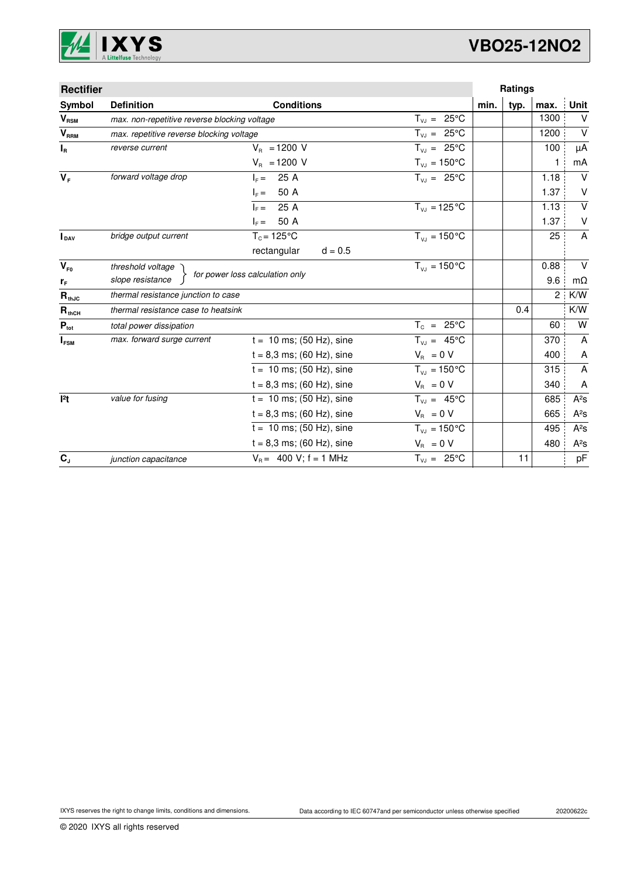

# **VBO25-12NO2**

| <b>Rectifier</b>           |                                              |                                 |                            |      | Ratings |      |                   |
|----------------------------|----------------------------------------------|---------------------------------|----------------------------|------|---------|------|-------------------|
| Symbol                     | <b>Definition</b>                            | <b>Conditions</b>               |                            | min. | typ.    | max. | Unit              |
| $V_{\rm RSM}$              | max. non-repetitive reverse blocking voltage |                                 | $T_{VJ} = 25^{\circ}C$     |      |         | 1300 | $\vee$            |
| V <sub>RRM</sub>           | max. repetitive reverse blocking voltage     |                                 | $T_{V,I} = 25^{\circ}C$    |      |         | 1200 | $\vee$            |
| $I_R$                      | reverse current                              | $V_{B} = 1200 V$                | $T_{VJ} = 25^{\circ}C$     |      |         | 100  | μA                |
|                            |                                              | $V_R$ = 1200 V                  | $T_{\nu J} = 150^{\circ}C$ |      |         | 1    | mA                |
| $V_F$                      | forward voltage drop                         | 25 A<br>$I_{\rm E} =$           | $T_{VJ} = 25^{\circ}C$     |      |         | 1.18 | $\vee$            |
|                            |                                              | 50 A<br>$I_F =$                 |                            |      |         | 1.37 | $\vee$            |
|                            |                                              | 25 A<br>$I_{\rm c} =$           | $T_{VJ} = 125 \degree C$   |      |         | 1.13 | $\overline{\vee}$ |
|                            |                                              | 50 A<br>$I_F =$                 |                            |      |         | 1.37 | V                 |
| <b>I</b> pay               | bridge output current                        | $T_c = 125$ °C                  | $T_{V1} = 150^{\circ}C$    |      |         | 25   | $\mathsf{A}$      |
|                            |                                              | rectangular<br>$d = 0.5$        |                            |      |         |      |                   |
| $V_{F0}$                   | threshold voltage                            |                                 | $T_{V1} = 150^{\circ}C$    |      |         | 0.88 | $\vee$            |
| $r_F$                      | slope resistance                             | for power loss calculation only |                            |      |         | 9.6  | $m\Omega$         |
| $\mathbf{R}_{\text{thJC}}$ | thermal resistance junction to case          |                                 |                            |      |         | 2    | K/W               |
| $R_{thCH}$                 | thermal resistance case to heatsink          |                                 |                            |      | 0.4     |      | K/W               |
| $P_{\text{tot}}$           | total power dissipation                      |                                 | $T_c = 25^{\circ}$ C       |      |         | 60   | W                 |
| $I_{FSM}$                  | max. forward surge current                   | $t = 10$ ms; (50 Hz), sine      | $T_{VJ} = 45^{\circ}C$     |      |         | 370  | A                 |
|                            |                                              | $t = 8,3$ ms; (60 Hz), sine     | $V_{\rm R} = 0 V$          |      |         | 400  | A                 |
|                            |                                              | $t = 10$ ms; (50 Hz), sine      | $T_{VJ} = 150^{\circ}C$    |      |         | 315  | A                 |
|                            |                                              | $t = 8,3$ ms; (60 Hz), sine     | $V_{\rm R} = 0 V$          |      |         | 340  | A                 |
| 12t                        | value for fusing                             | $t = 10$ ms; (50 Hz), sine      | $T_{VJ} = 45^{\circ}C$     |      |         | 685  | $A^2S$            |
|                            |                                              | $t = 8,3$ ms; (60 Hz), sine     | $V_{\rm B} = 0$ V          |      |         | 665  | $A^2S$            |
|                            |                                              | $t = 10$ ms; (50 Hz), sine      | $T_{VJ} = 150^{\circ}C$    |      |         | 495  | $A^2S$            |
|                            |                                              | $t = 8,3$ ms; (60 Hz), sine     | $V_{\rm B} = 0$ V          |      |         | 480  | $A^2S$            |
| $C_{J}$                    | junction capacitance                         | $V_B = 400 V$ ; f = 1 MHz       | $T_{VJ} = 25^{\circ}C$     |      | 11      |      | pF                |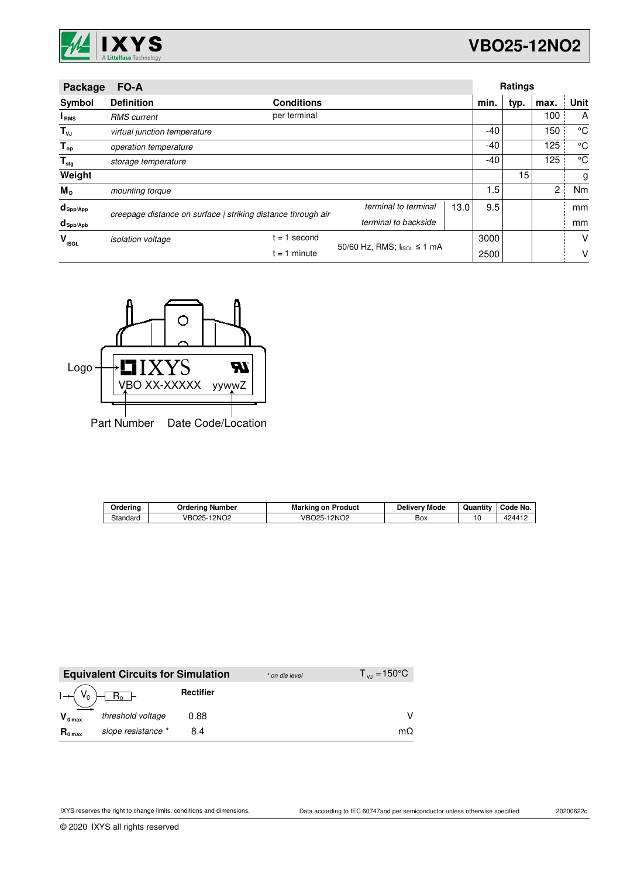

| Package                | FO-A                                                         |                   |                            | <b>Ratings</b> |      |      |                |      |
|------------------------|--------------------------------------------------------------|-------------------|----------------------------|----------------|------|------|----------------|------|
| Symbol                 | <b>Definition</b>                                            | <b>Conditions</b> |                            |                | min. | typ. | max.           | Unit |
| I <sub>RMS</sub>       | <b>RMS</b> current                                           | per terminal      |                            |                |      |      | 100            | A    |
| $T_{\nu J}$            | virtual junction temperature                                 |                   |                            |                | -40  |      | 150            | °C   |
| $T_{op}$               | operation temperature                                        |                   |                            |                | -40  |      | 125            | °C   |
| $T_{\text{stg}}$       | storage temperature                                          |                   |                            |                |      |      | 125            | °C   |
| Weight                 |                                                              |                   |                            |                |      | 15   |                | g    |
| М <sub>р</sub>         | mounting torque                                              |                   |                            |                | 1.5  |      | $\overline{2}$ | Nm   |
| $d_{\mathsf{Spp/App}}$ | creepage distance on surface   striking distance through air |                   | terminal to terminal       | 13.0           | 9.5  |      |                | mm   |
| $d_{\text{sph/Apb}}$   |                                                              |                   | terminal to backside       |                |      |      |                | mm   |
| v<br><b>ISOL</b>       | <i>isolation</i> voltage                                     | second<br>$= 1$   |                            |                | 3000 |      |                | v    |
|                        | $= 1$ minute                                                 |                   | 50/60 Hz, RMS; IsoL ≤ 1 mA |                | 2500 |      |                | v    |



| Orderina | Orderina<br>∣ Number | <b>Marking on Product</b>      | <b>Delivery Mode</b> | Quantitv | Code No. |
|----------|----------------------|--------------------------------|----------------------|----------|----------|
| Standard | 12NO2<br>VBO25-1     | -12NO <sub>2</sub><br>VBO25-1. | Box                  | 10       | 424417   |

|                     | <b>Equivalent Circuits for Simulation</b> |                  | * on die level | $T_{V1} = 150^{\circ}C$ |
|---------------------|-------------------------------------------|------------------|----------------|-------------------------|
|                     | $R_0$ –                                   | <b>Rectifier</b> |                |                         |
| $V_{0 \text{ max}}$ | threshold voltage                         | 0.88             |                |                         |
| $R_{0 \text{ max}}$ | slope resistance *                        | 8.4              |                | mΩ                      |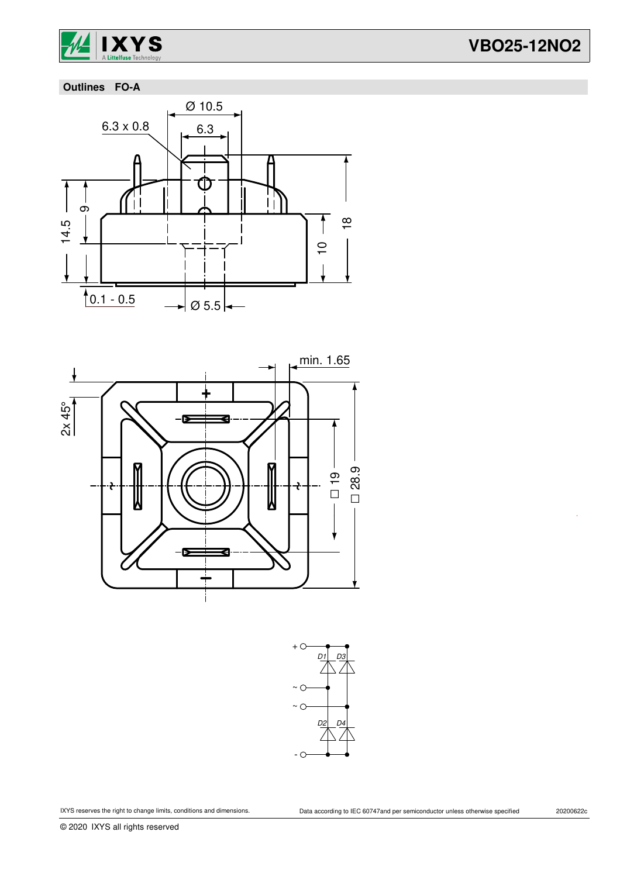

# **VBO25-12NO2**

# **Outlines FO-A**